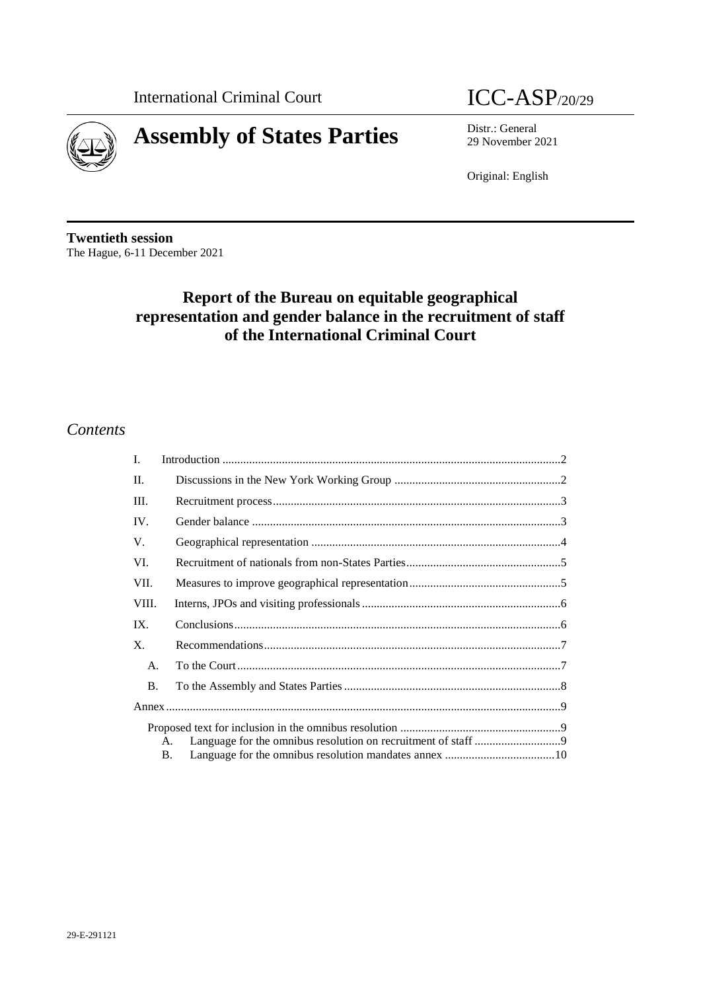

# **Assembly of States Parties** Distr.: General Distr.: General



29 November 2021

Original: English

**Twentieth session** The Hague, 6-11 December 2021

# **Report of the Bureau on equitable geographical representation and gender balance in the recruitment of staff of the International Criminal Court**

# *Contents*

| L.        |    |  |
|-----------|----|--|
| $\Pi$ .   |    |  |
| Ш.        |    |  |
| IV.       |    |  |
| V.        |    |  |
| VI.       |    |  |
| VII.      |    |  |
| VIII.     |    |  |
| IX.       |    |  |
| X.        |    |  |
| A.        |    |  |
| <b>B.</b> |    |  |
|           |    |  |
|           |    |  |
|           | A. |  |
|           | B. |  |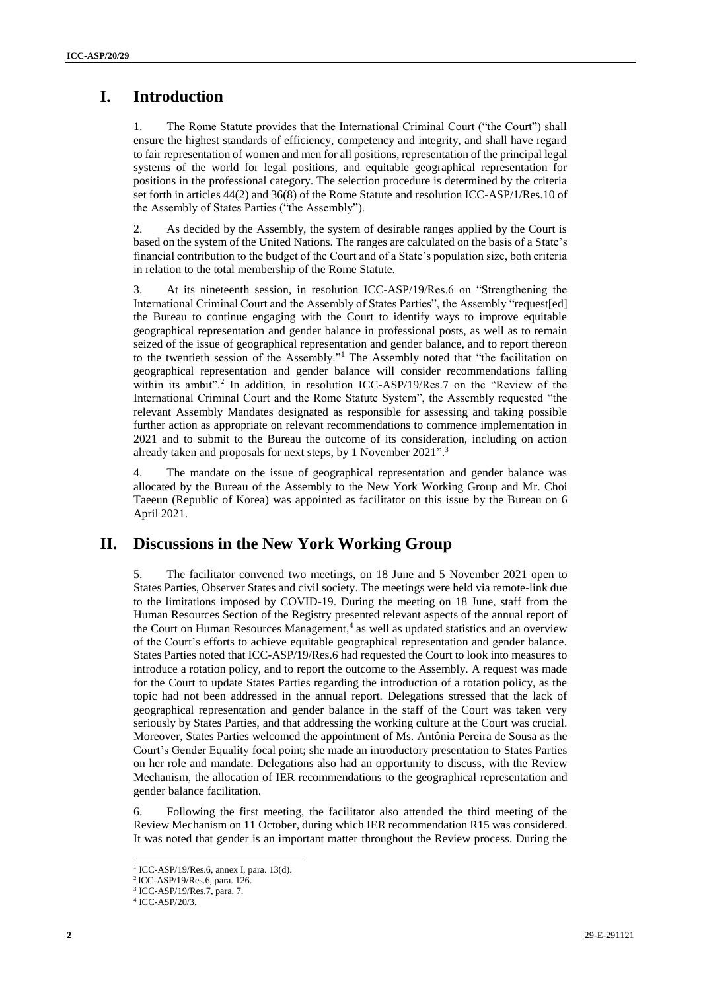# **I. Introduction**

1. The Rome Statute provides that the International Criminal Court ("the Court") shall ensure the highest standards of efficiency, competency and integrity, and shall have regard to fair representation of women and men for all positions, representation of the principal legal systems of the world for legal positions, and equitable geographical representation for positions in the professional category. The selection procedure is determined by the criteria set forth in articles 44(2) and 36(8) of the Rome Statute and resolution ICC-ASP/1/Res.10 of the Assembly of States Parties ("the Assembly").

2. As decided by the Assembly, the system of desirable ranges applied by the Court is based on the system of the United Nations. The ranges are calculated on the basis of a State's financial contribution to the budget of the Court and of a State's population size, both criteria in relation to the total membership of the Rome Statute.

3. At its nineteenth session, in resolution ICC-ASP/19/Res.6 on "Strengthening the International Criminal Court and the Assembly of States Parties", the Assembly "request[ed] the Bureau to continue engaging with the Court to identify ways to improve equitable geographical representation and gender balance in professional posts, as well as to remain seized of the issue of geographical representation and gender balance, and to report thereon to the twentieth session of the Assembly."<sup>1</sup> The Assembly noted that "the facilitation on geographical representation and gender balance will consider recommendations falling within its ambit".<sup>2</sup> In addition, in resolution ICC-ASP/19/Res.7 on the "Review of the International Criminal Court and the Rome Statute System", the Assembly requested "the relevant Assembly Mandates designated as responsible for assessing and taking possible further action as appropriate on relevant recommendations to commence implementation in 2021 and to submit to the Bureau the outcome of its consideration, including on action already taken and proposals for next steps, by 1 November 2021". 3

4. The mandate on the issue of geographical representation and gender balance was allocated by the Bureau of the Assembly to the New York Working Group and Mr. Choi Taeeun (Republic of Korea) was appointed as facilitator on this issue by the Bureau on 6 April 2021.

# **II. Discussions in the New York Working Group**

5. The facilitator convened two meetings, on 18 June and 5 November 2021 open to States Parties, Observer States and civil society. The meetings were held via remote-link due to the limitations imposed by COVID-19. During the meeting on 18 June, staff from the Human Resources Section of the Registry presented relevant aspects of the annual report of the Court on Human Resources Management, 4 as well as updated statistics and an overview of the Court's efforts to achieve equitable geographical representation and gender balance. States Parties noted that ICC-ASP/19/Res.6 had requested the Court to look into measures to introduce a rotation policy, and to report the outcome to the Assembly. A request was made for the Court to update States Parties regarding the introduction of a rotation policy, as the topic had not been addressed in the annual report. Delegations stressed that the lack of geographical representation and gender balance in the staff of the Court was taken very seriously by States Parties, and that addressing the working culture at the Court was crucial. Moreover, States Parties welcomed the appointment of Ms. Antônia Pereira de Sousa as the Court's Gender Equality focal point; she made an introductory presentation to States Parties on her role and mandate. Delegations also had an opportunity to discuss, with the Review Mechanism, the allocation of IER recommendations to the geographical representation and gender balance facilitation.

6. Following the first meeting, the facilitator also attended the third meeting of the Review Mechanism on 11 October, during which IER recommendation R15 was considered. It was noted that gender is an important matter throughout the Review process. During the

<sup>1</sup> ICC-ASP/19/Res.6, annex I, para. 13(d).

<sup>2</sup> ICC-ASP/19/Res.6, para. 126.

<sup>3</sup> ICC-ASP/19/Res.7, para. 7.

<sup>4</sup> ICC-ASP/20/3.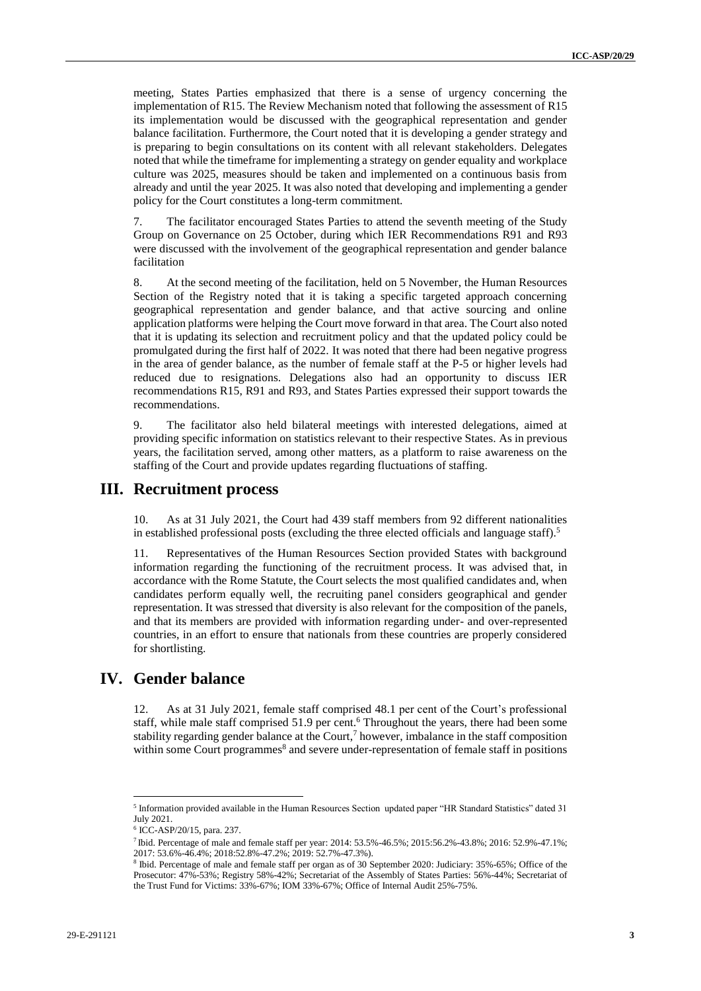meeting, States Parties emphasized that there is a sense of urgency concerning the implementation of R15. The Review Mechanism noted that following the assessment of R15 its implementation would be discussed with the geographical representation and gender balance facilitation. Furthermore, the Court noted that it is developing a gender strategy and is preparing to begin consultations on its content with all relevant stakeholders. Delegates noted that while the timeframe for implementing a strategy on gender equality and workplace culture was 2025, measures should be taken and implemented on a continuous basis from already and until the year 2025. It was also noted that developing and implementing a gender policy for the Court constitutes a long-term commitment.

7. The facilitator encouraged States Parties to attend the seventh meeting of the Study Group on Governance on 25 October, during which IER Recommendations R91 and R93 were discussed with the involvement of the geographical representation and gender balance facilitation

8. At the second meeting of the facilitation, held on 5 November, the Human Resources Section of the Registry noted that it is taking a specific targeted approach concerning geographical representation and gender balance, and that active sourcing and online application platforms were helping the Court move forward in that area. The Court also noted that it is updating its selection and recruitment policy and that the updated policy could be promulgated during the first half of 2022. It was noted that there had been negative progress in the area of gender balance, as the number of female staff at the P-5 or higher levels had reduced due to resignations. Delegations also had an opportunity to discuss IER recommendations R15, R91 and R93, and States Parties expressed their support towards the recommendations.

9. The facilitator also held bilateral meetings with interested delegations, aimed at providing specific information on statistics relevant to their respective States. As in previous years, the facilitation served, among other matters, as a platform to raise awareness on the staffing of the Court and provide updates regarding fluctuations of staffing.

#### **III. Recruitment process**

10. As at 31 July 2021, the Court had 439 staff members from 92 different nationalities in established professional posts (excluding the three elected officials and language staff).<sup>5</sup>

11. Representatives of the Human Resources Section provided States with background information regarding the functioning of the recruitment process. It was advised that, in accordance with the Rome Statute, the Court selects the most qualified candidates and, when candidates perform equally well, the recruiting panel considers geographical and gender representation. It was stressed that diversity is also relevant for the composition of the panels, and that its members are provided with information regarding under- and over-represented countries, in an effort to ensure that nationals from these countries are properly considered for shortlisting.

# **IV. Gender balance**

12. As at 31 July 2021, female staff comprised 48.1 per cent of the Court's professional staff, while male staff comprised 51.9 per cent.<sup>6</sup> Throughout the years, there had been some stability regarding gender balance at the Court,<sup>7</sup> however, imbalance in the staff composition within some Court programmes<sup>8</sup> and severe under-representation of female staff in positions

<sup>&</sup>lt;sup>5</sup> Information provided available in the Human Resources Section updated paper "HR Standard Statistics" dated 31 July 2021.

<sup>6</sup> ICC-ASP/20/15, para. 237.

<sup>7</sup> Ibid. Percentage of male and female staff per year: 2014: 53.5%-46.5%; 2015:56.2%-43.8%; 2016: 52.9%-47.1%; 2017: 53.6%-46.4%; 2018:52.8%-47.2%; 2019: 52.7%-47.3%).

<sup>8</sup> Ibid. Percentage of male and female staff per organ as of 30 September 2020: Judiciary: 35%-65%; Office of the Prosecutor: 47%-53%; Registry 58%-42%; Secretariat of the Assembly of States Parties: 56%-44%; Secretariat of the Trust Fund for Victims: 33%-67%; IOM 33%-67%; Office of Internal Audit 25%-75%.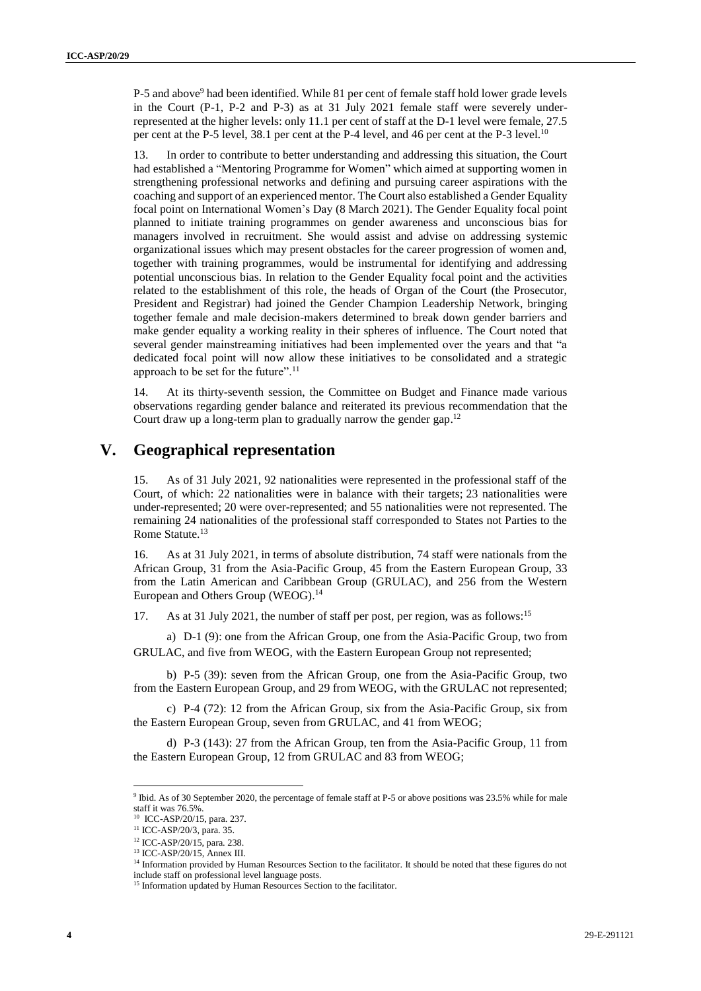P-5 and above<sup>9</sup> had been identified. While 81 per cent of female staff hold lower grade levels in the Court (P-1, P-2 and P-3) as at 31 July 2021 female staff were severely underrepresented at the higher levels: only 11.1 per cent of staff at the D-1 level were female, 27.5 per cent at the P-5 level, 38.1 per cent at the P-4 level, and 46 per cent at the P-3 level.<sup>10</sup>

13. In order to contribute to better understanding and addressing this situation, the Court had established a "Mentoring Programme for Women" which aimed at supporting women in strengthening professional networks and defining and pursuing career aspirations with the coaching and support of an experienced mentor. The Court also established a Gender Equality focal point on International Women's Day (8 March 2021). The Gender Equality focal point planned to initiate training programmes on gender awareness and unconscious bias for managers involved in recruitment. She would assist and advise on addressing systemic organizational issues which may present obstacles for the career progression of women and, together with training programmes, would be instrumental for identifying and addressing potential unconscious bias. In relation to the Gender Equality focal point and the activities related to the establishment of this role, the heads of Organ of the Court (the Prosecutor, President and Registrar) had joined the Gender Champion Leadership Network, bringing together female and male decision-makers determined to break down gender barriers and make gender equality a working reality in their spheres of influence. The Court noted that several gender mainstreaming initiatives had been implemented over the years and that "a dedicated focal point will now allow these initiatives to be consolidated and a strategic approach to be set for the future".<sup>11</sup>

14. At its thirty-seventh session, the Committee on Budget and Finance made various observations regarding gender balance and reiterated its previous recommendation that the Court draw up a long-term plan to gradually narrow the gender gap.<sup>12</sup>

# **V. Geographical representation**

15. As of 31 July 2021, 92 nationalities were represented in the professional staff of the Court, of which: 22 nationalities were in balance with their targets; 23 nationalities were under-represented; 20 were over-represented; and 55 nationalities were not represented. The remaining 24 nationalities of the professional staff corresponded to States not Parties to the Rome Statute.<sup>13</sup>

16. As at 31 July 2021, in terms of absolute distribution, 74 staff were nationals from the African Group, 31 from the Asia-Pacific Group, 45 from the Eastern European Group, 33 from the Latin American and Caribbean Group (GRULAC), and 256 from the Western European and Others Group (WEOG). 14

17. As at 31 July 2021, the number of staff per post, per region, was as follows:<sup>15</sup>

a) D-1 (9): one from the African Group, one from the Asia-Pacific Group, two from GRULAC, and five from WEOG, with the Eastern European Group not represented;

b) P-5 (39): seven from the African Group, one from the Asia-Pacific Group, two from the Eastern European Group, and 29 from WEOG, with the GRULAC not represented;

c) P-4 (72): 12 from the African Group, six from the Asia-Pacific Group, six from the Eastern European Group, seven from GRULAC, and 41 from WEOG;

d) P-3 (143): 27 from the African Group, ten from the Asia-Pacific Group, 11 from the Eastern European Group, 12 from GRULAC and 83 from WEOG;

<sup>9</sup> Ibid. As of 30 September 2020, the percentage of female staff at P-5 or above positions was 23.5% while for male staff it was 76.5%.

<sup>10</sup> ICC-ASP/20/15, para. 237.

<sup>11</sup> ICC-ASP/20/3, para. 35.

<sup>12</sup> ICC-ASP/20/15, para. 238.

<sup>13</sup> ICC-ASP/20/15, Annex III.

<sup>&</sup>lt;sup>14</sup> Information provided by Human Resources Section to the facilitator. It should be noted that these figures do not include staff on professional level language posts.

<sup>&</sup>lt;sup>15</sup> Information updated by Human Resources Section to the facilitator.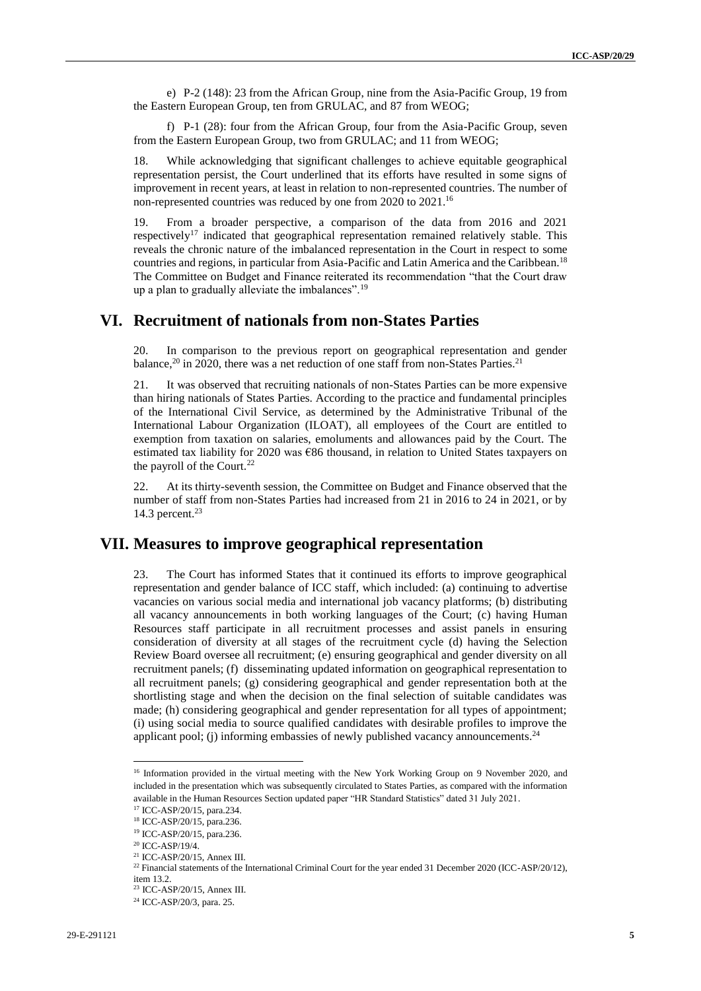e) P-2 (148): 23 from the African Group, nine from the Asia-Pacific Group, 19 from the Eastern European Group, ten from GRULAC, and 87 from WEOG;

f) P-1 (28): four from the African Group, four from the Asia-Pacific Group, seven from the Eastern European Group, two from GRULAC; and 11 from WEOG;

18. While acknowledging that significant challenges to achieve equitable geographical representation persist, the Court underlined that its efforts have resulted in some signs of improvement in recent years, at least in relation to non-represented countries. The number of non-represented countries was reduced by one from 2020 to 2021.<sup>16</sup>

19. From a broader perspective, a comparison of the data from 2016 and 2021 respectively<sup>17</sup> indicated that geographical representation remained relatively stable. This reveals the chronic nature of the imbalanced representation in the Court in respect to some countries and regions, in particular from Asia-Pacific and Latin America and the Caribbean.<sup>18</sup> The Committee on Budget and Finance reiterated its recommendation "that the Court draw up a plan to gradually alleviate the imbalances".<sup>19</sup>

## **VI. Recruitment of nationals from non-States Parties**

20. In comparison to the previous report on geographical representation and gender balance,<sup>20</sup> in 2020, there was a net reduction of one staff from non-States Parties.<sup>21</sup>

21. It was observed that recruiting nationals of non-States Parties can be more expensive than hiring nationals of States Parties. According to the practice and fundamental principles of the International Civil Service, as determined by the Administrative Tribunal of the International Labour Organization (ILOAT), all employees of the Court are entitled to exemption from taxation on salaries, emoluments and allowances paid by the Court. The estimated tax liability for 2020 was  $\epsilon$ 86 thousand, in relation to United States taxpayers on the payroll of the Court. $^{22}$ 

22. At its thirty-seventh session, the Committee on Budget and Finance observed that the number of staff from non-States Parties had increased from 21 in 2016 to 24 in 2021, or by 14.3 percent.<sup>23</sup>

## **VII. Measures to improve geographical representation**

23. The Court has informed States that it continued its efforts to improve geographical representation and gender balance of ICC staff, which included: (a) continuing to advertise vacancies on various social media and international job vacancy platforms; (b) distributing all vacancy announcements in both working languages of the Court; (c) having Human Resources staff participate in all recruitment processes and assist panels in ensuring consideration of diversity at all stages of the recruitment cycle (d) having the Selection Review Board oversee all recruitment; (e) ensuring geographical and gender diversity on all recruitment panels; (f) disseminating updated information on geographical representation to all recruitment panels; (g) considering geographical and gender representation both at the shortlisting stage and when the decision on the final selection of suitable candidates was made; (h) considering geographical and gender representation for all types of appointment; (i) using social media to source qualified candidates with desirable profiles to improve the applicant pool; (j) informing embassies of newly published vacancy announcements.<sup>24</sup>

<sup>&</sup>lt;sup>16</sup> Information provided in the virtual meeting with the New York Working Group on 9 November 2020, and included in the presentation which was subsequently circulated to States Parties, as compared with the information available in the Human Resources Section updated paper "HR Standard Statistics" dated 31 July 2021.

<sup>17</sup> ICC-ASP/20/15, para.234.

<sup>18</sup> ICC-ASP/20/15, para.236.

<sup>19</sup> ICC-ASP/20/15, para.236.

<sup>20</sup> ICC-ASP/19/4.

<sup>21</sup> ICC-ASP/20/15, Annex III.

<sup>&</sup>lt;sup>22</sup> Financial statements of the International Criminal Court for the year ended 31 December 2020 (ICC-ASP/20/12), item 13.2.

<sup>23</sup> ICC-ASP/20/15, Annex III.

<sup>&</sup>lt;sup>24</sup> ICC-ASP/20/3, para. 25.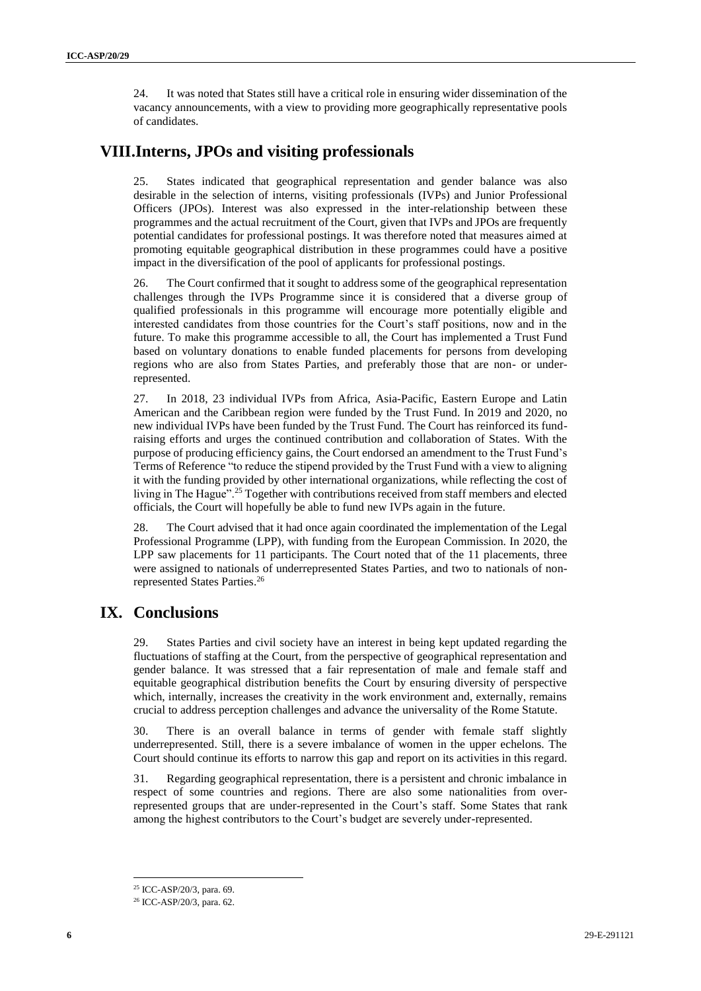24. It was noted that States still have a critical role in ensuring wider dissemination of the vacancy announcements, with a view to providing more geographically representative pools of candidates.

# **VIII.Interns, JPOs and visiting professionals**

25. States indicated that geographical representation and gender balance was also desirable in the selection of interns, visiting professionals (IVPs) and Junior Professional Officers (JPOs). Interest was also expressed in the inter-relationship between these programmes and the actual recruitment of the Court, given that IVPs and JPOs are frequently potential candidates for professional postings. It was therefore noted that measures aimed at promoting equitable geographical distribution in these programmes could have a positive impact in the diversification of the pool of applicants for professional postings.

26. The Court confirmed that it sought to address some of the geographical representation challenges through the IVPs Programme since it is considered that a diverse group of qualified professionals in this programme will encourage more potentially eligible and interested candidates from those countries for the Court's staff positions, now and in the future. To make this programme accessible to all, the Court has implemented a Trust Fund based on voluntary donations to enable funded placements for persons from developing regions who are also from States Parties, and preferably those that are non- or underrepresented.

27. In 2018, 23 individual IVPs from Africa, Asia-Pacific, Eastern Europe and Latin American and the Caribbean region were funded by the Trust Fund. In 2019 and 2020, no new individual IVPs have been funded by the Trust Fund. The Court has reinforced its fundraising efforts and urges the continued contribution and collaboration of States. With the purpose of producing efficiency gains, the Court endorsed an amendment to the Trust Fund's Terms of Reference "to reduce the stipend provided by the Trust Fund with a view to aligning it with the funding provided by other international organizations, while reflecting the cost of living in The Hague".<sup>25</sup> Together with contributions received from staff members and elected officials, the Court will hopefully be able to fund new IVPs again in the future.

28. The Court advised that it had once again coordinated the implementation of the Legal Professional Programme (LPP), with funding from the European Commission. In 2020, the LPP saw placements for 11 participants. The Court noted that of the 11 placements, three were assigned to nationals of underrepresented States Parties, and two to nationals of nonrepresented States Parties. 26

# **IX. Conclusions**

29. States Parties and civil society have an interest in being kept updated regarding the fluctuations of staffing at the Court, from the perspective of geographical representation and gender balance. It was stressed that a fair representation of male and female staff and equitable geographical distribution benefits the Court by ensuring diversity of perspective which, internally, increases the creativity in the work environment and, externally, remains crucial to address perception challenges and advance the universality of the Rome Statute.

30. There is an overall balance in terms of gender with female staff slightly underrepresented. Still, there is a severe imbalance of women in the upper echelons. The Court should continue its efforts to narrow this gap and report on its activities in this regard.

31. Regarding geographical representation, there is a persistent and chronic imbalance in respect of some countries and regions. There are also some nationalities from overrepresented groups that are under-represented in the Court's staff. Some States that rank among the highest contributors to the Court's budget are severely under-represented.

<sup>25</sup> ICC-ASP/20/3, para. 69.

<sup>26</sup> ICC-ASP/20/3, para. 62.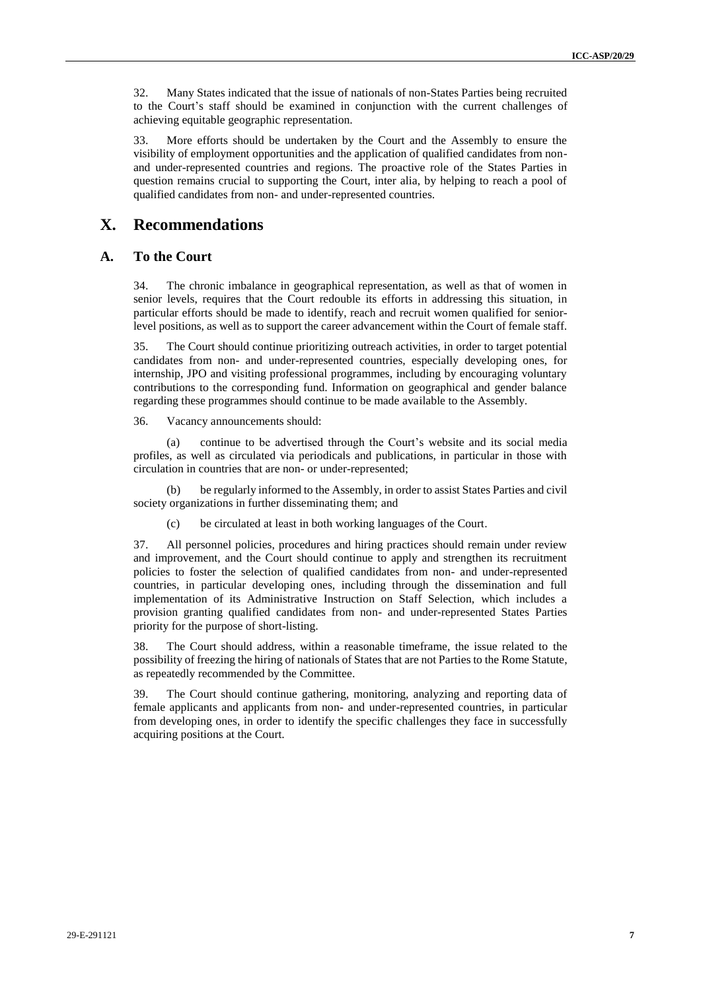32. Many States indicated that the issue of nationals of non-States Parties being recruited to the Court's staff should be examined in conjunction with the current challenges of achieving equitable geographic representation.

33. More efforts should be undertaken by the Court and the Assembly to ensure the visibility of employment opportunities and the application of qualified candidates from nonand under-represented countries and regions. The proactive role of the States Parties in question remains crucial to supporting the Court, inter alia, by helping to reach a pool of qualified candidates from non- and under-represented countries.

## **X. Recommendations**

#### **A. To the Court**

34. The chronic imbalance in geographical representation, as well as that of women in senior levels, requires that the Court redouble its efforts in addressing this situation, in particular efforts should be made to identify, reach and recruit women qualified for seniorlevel positions, as well as to support the career advancement within the Court of female staff.

35. The Court should continue prioritizing outreach activities, in order to target potential candidates from non- and under-represented countries, especially developing ones, for internship, JPO and visiting professional programmes, including by encouraging voluntary contributions to the corresponding fund. Information on geographical and gender balance regarding these programmes should continue to be made available to the Assembly.

36. Vacancy announcements should:

continue to be advertised through the Court's website and its social media profiles, as well as circulated via periodicals and publications, in particular in those with circulation in countries that are non- or under-represented;

(b) be regularly informed to the Assembly, in order to assist States Parties and civil society organizations in further disseminating them; and

(c) be circulated at least in both working languages of the Court.

37. All personnel policies, procedures and hiring practices should remain under review and improvement, and the Court should continue to apply and strengthen its recruitment policies to foster the selection of qualified candidates from non- and under-represented countries, in particular developing ones, including through the dissemination and full implementation of its Administrative Instruction on Staff Selection, which includes a provision granting qualified candidates from non- and under-represented States Parties priority for the purpose of short-listing.

38. The Court should address, within a reasonable timeframe, the issue related to the possibility of freezing the hiring of nationals of States that are not Parties to the Rome Statute, as repeatedly recommended by the Committee.

39. The Court should continue gathering, monitoring, analyzing and reporting data of female applicants and applicants from non- and under-represented countries, in particular from developing ones, in order to identify the specific challenges they face in successfully acquiring positions at the Court.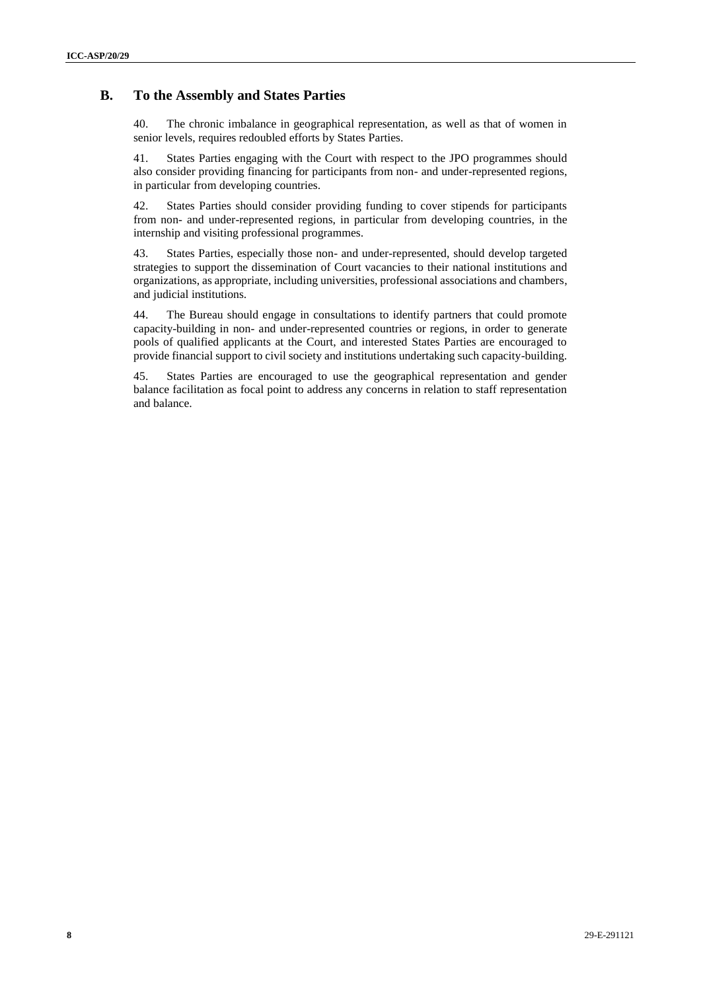#### **B. To the Assembly and States Parties**

40. The chronic imbalance in geographical representation, as well as that of women in senior levels, requires redoubled efforts by States Parties.

41. States Parties engaging with the Court with respect to the JPO programmes should also consider providing financing for participants from non- and under-represented regions, in particular from developing countries.

42. States Parties should consider providing funding to cover stipends for participants from non- and under-represented regions, in particular from developing countries, in the internship and visiting professional programmes.

43. States Parties, especially those non- and under-represented, should develop targeted strategies to support the dissemination of Court vacancies to their national institutions and organizations, as appropriate, including universities, professional associations and chambers, and judicial institutions.

44. The Bureau should engage in consultations to identify partners that could promote capacity-building in non- and under-represented countries or regions, in order to generate pools of qualified applicants at the Court, and interested States Parties are encouraged to provide financial support to civil society and institutions undertaking such capacity-building.

45. States Parties are encouraged to use the geographical representation and gender balance facilitation as focal point to address any concerns in relation to staff representation and balance.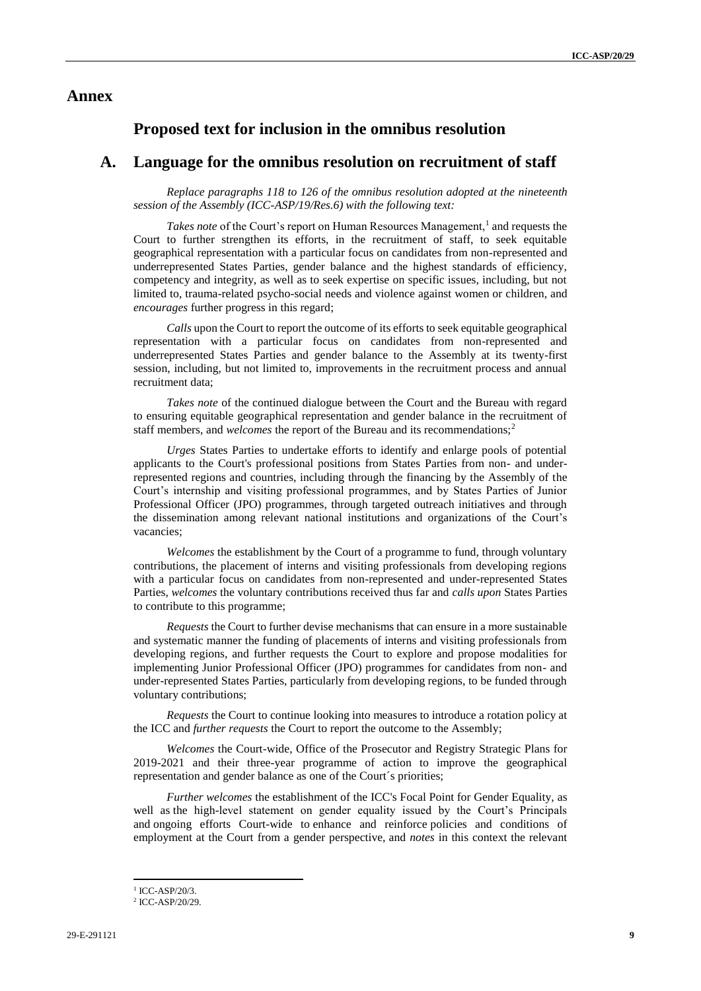## **Annex**

#### **Proposed text for inclusion in the omnibus resolution**

#### **A. Language for the omnibus resolution on recruitment of staff**

*Replace paragraphs 118 to 126 of the omnibus resolution adopted at the nineteenth session of the Assembly (ICC-ASP/19/Res.6) with the following text:*

Takes note of the Court's report on Human Resources Management,<sup>1</sup> and requests the Court to further strengthen its efforts, in the recruitment of staff, to seek equitable geographical representation with a particular focus on candidates from non-represented and underrepresented States Parties, gender balance and the highest standards of efficiency, competency and integrity, as well as to seek expertise on specific issues, including, but not limited to, trauma-related psycho-social needs and violence against women or children, and *encourages* further progress in this regard;

*Calls* upon the Court to report the outcome of its efforts to seek equitable geographical representation with a particular focus on candidates from non-represented and underrepresented States Parties and gender balance to the Assembly at its twenty-first session, including, but not limited to, improvements in the recruitment process and annual recruitment data;

*Takes note* of the continued dialogue between the Court and the Bureau with regard to ensuring equitable geographical representation and gender balance in the recruitment of staff members, and *welcomes* the report of the Bureau and its recommendations;<sup>2</sup>

*Urges* States Parties to undertake efforts to identify and enlarge pools of potential applicants to the Court's professional positions from States Parties from non- and underrepresented regions and countries, including through the financing by the Assembly of the Court's internship and visiting professional programmes, and by States Parties of Junior Professional Officer (JPO) programmes, through targeted outreach initiatives and through the dissemination among relevant national institutions and organizations of the Court's vacancies;

*Welcomes* the establishment by the Court of a programme to fund, through voluntary contributions, the placement of interns and visiting professionals from developing regions with a particular focus on candidates from non-represented and under-represented States Parties, *welcomes* the voluntary contributions received thus far and *calls upon* States Parties to contribute to this programme;

*Requests* the Court to further devise mechanisms that can ensure in a more sustainable and systematic manner the funding of placements of interns and visiting professionals from developing regions, and further requests the Court to explore and propose modalities for implementing Junior Professional Officer (JPO) programmes for candidates from non- and under-represented States Parties, particularly from developing regions, to be funded through voluntary contributions;

*Requests* the Court to continue looking into measures to introduce a rotation policy at the ICC and *further requests* the Court to report the outcome to the Assembly;

*Welcomes* the Court-wide, Office of the Prosecutor and Registry Strategic Plans for 2019-2021 and their three-year programme of action to improve the geographical representation and gender balance as one of the Court´s priorities;

*Further welcomes* the establishment of the ICC's Focal Point for Gender Equality, as well as the high-level statement on gender equality issued by the Court's Principals and ongoing efforts Court-wide to enhance and reinforce policies and conditions of employment at the Court from a gender perspective, and *notes* in this context the relevant

<sup>&</sup>lt;sup>1</sup> ICC-ASP/20/3.

<sup>2</sup> ICC-ASP/20/29.